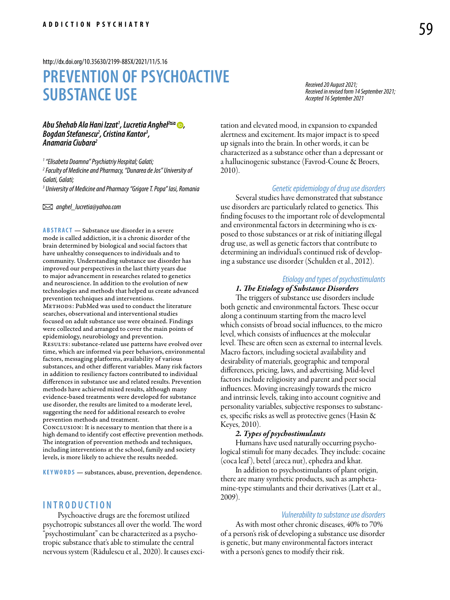#### <http://dx.doi.org/10.35630/2199-885X/2021/11/5.16>

# **PREVENTION OF PSYCHOACTIVE SUBSTANCE USE**

## *Abu Shehab Ala Hani Izzat1 , Lucretia Anghel2 , Bogdan Stefanescu2 , Cristina Kantor3 , Anamaria Ciubara2*

*1 "Elisabeta Doamna" Psychiatriy Hospital; Galati;*

*2 Faculty of Medicine and Pharmacy, "Dunarea de Jos" University of Galati, Galati;*

*3 University of Medicine and Pharmacy "Grigore T. Popa" Iasi, Romania*

 *anghel\_lucretia@yahoo.com* 

**ABSTRACT** — Substance use disorder in a severe mode is called addiction, it is a chronic disorder of the brain determined by biological and social factors that have unhealthy consequences to individuals and to community. Understanding substance use disorder has improved our perspectives in the last thirty years due to major advancement in researches related to genetics and neuroscience. In addition to the evolution of new technologies and methods that helped us create advanced prevention techniques and interventions. METHODS: PubMed was used to conduct the literature searches, observational and interventional studies focused on adult substance use were obtained. Findings were collected and arranged to cover the main points of epidemiology, neurobiology and prevention. RESULTS: substance-related use patterns have evolved over time, which are informed via peer behaviors, environmental factors, messaging platforms, availability of various substances, and other different variables. Many risk factors in addition to resiliency factors contributed to individual differences in substance use and related results. Prevention methods have achieved mixed results, although many evidence-based treatments were developed for substance use disorder, the results are limited to a moderate level, suggesting the need for additional research to evolve prevention methods and treatment.

Conclusion: It is necessary to mention that there is a high demand to identify cost effective prevention methods. The integration of prevention methods and techniques, including interventions at the school, family and society levels, is more likely to achieve the results needed.

KEYWORDS - substances, abuse, prevention, dependence.

## **INTROD U CTION**

Psychoactive drugs are the foremost utilized psychotropic substances all over the world. The word "psychostimulant" can be characterized as a psychotropic substance that's able to stimulate the central nervous system (Rădulescu et al., 2020). It causes exci*Received 20 August 2021; Received in revised form 14 September 2021; Accepted 16 September 2021*

tation and elevated mood, in expansion to expanded alertness and excitement. Its major impact is to speed up signals into the brain. In other words, it can be characterized as a substance other than a depressant or a hallucinogenic substance (Favrod-Coune & Broers, 2010).

## *Genetic epidemiology of drug use disorders*

Several studies have demonstrated that substance use disorders are particularly related to genetics. This finding focuses to the important role of developmental and environmental factors in determining who is exposed to those substances or at risk of initiating illegal drug use, as well as genetic factors that contribute to determining an individual's continued risk of developing a substance use disorder (Schulden et al., 2012).

#### *Etiology and types of psychostimulants*

## *1. The Etiology of Substance Disorders*

The triggers of substance use disorders include both genetic and environmental factors. These occur along a continuum starting from the macro level which consists of broad social influences, to the micro level, which consists of influences at the molecular level. These are often seen as external to internal levels. Macro factors, including societal availability and desirability of materials, geographic and temporal differences, pricing, laws, and advertising. Mid-level factors include religiosity and parent and peer social influences. Moving increasingly towards the micro and intrinsic levels, taking into account cognitive and personality variables, subjective responses to substances, specific risks as well as protective genes (Hasin & Keyes, 2010).

## *2. Types of psychostimulants*

Humans have used naturally occurring psychological stimuli for many decades. They include: cocaine (coca leaf ), betel (areca nut), ephedra and khat.

In addition to psychostimulants of plant origin, there are many synthetic products, such as amphetamine-type stimulants and their derivatives (Latt et al., 2009).

## *Vulnerability to substance use disorders*

As with most other chronic diseases, 40% to 70% of a person's risk of developing a substance use disorder is genetic, but many environmental factors interact with a person's genes to modify their risk.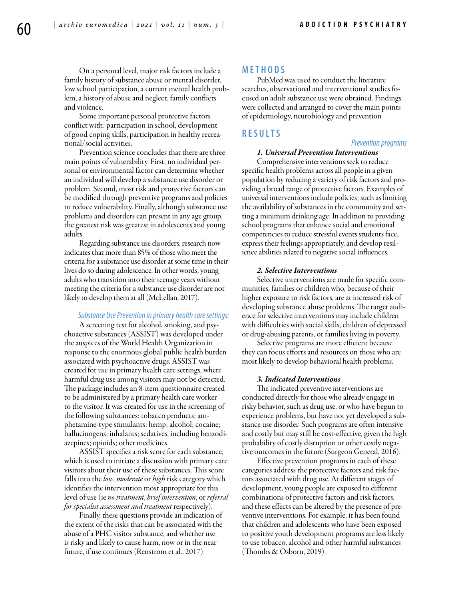On a personal level, major risk factors include a family history of substance abuse or mental disorder, low school participation, a current mental health problem, a history of abuse and neglect, family conflicts and violence.

Some important personal protective factors conflict with: participation in school, development of good coping skills, participation in healthy recreational/social activities.

Prevention science concludes that there are three main points of vulnerability. First, no individual personal or environmental factor can determine whether an individual will develop a substance use disorder or problem. Second, most risk and protective factors can be modified through preventive programs and policies to reduce vulnerability. Finally, although substance use problems and disorders can present in any age group, the greatest risk was greatest in adolescents and young adults.

Regarding substance use disorders, research now indicates that more than 85% of those who meet the criteria for a substance use disorder at some time in their lives do so during adolescence. In other words, young adults who transition into their teenage years without meeting the criteria for a substance use disorder are not likely to develop them at all (McLellan, 2017).

## *Substance Use Prevention in primary health care settings:*

A screening test for alcohol, smoking, and psychoactive substances (ASSIST) was developed under the auspices of the World Health Organization in response to the enormous global public health burden associated with psychoactive drugs. ASSIST was created for use in primary health care settings, where harmful drug use among visitors may not be detected. The package includes an 8-item questionnaire created to be administered by a primary health care worker to the visitor. It was created for use in the screening of the following substances: tobacco products; amphetamine-type stimulants; hemp; alcohol; cocaine; hallucinogens; inhalants; sedatives, including benzodiazepines; opioids; other medicines.

ASSIST specifies a risk score for each substance, which is used to initiate a discussion with primary care visitors about their use of these substances. This score falls into the *low*, *moderate* or *high* risk category which identifies the intervention most appropriate for this level of use (ie *no treatment*, *brief intervention*, or *referral for specialist assessment and treatment* respectively).

Finally, these questions provide an indication of the extent of the risks that can be associated with the abuse of a PHC visitor substance, and whether use is risky and likely to cause harm, now or in the near future, if use continues (Renstrom et al., 2017).

## **MET H ODS**

PubMed was used to conduct the literature searches, observational and interventional studies focused on adult substance use were obtained. Findings were collected and arranged to cover the main points of epidemiology, neurobiology and prevention

## **RES U LTS**

#### *Prevention programs*

## *1. Universal Prevention Interventions*

Comprehensive interventions seek to reduce specific health problems across all people in a given population by reducing a variety of risk factors and providing a broad range of protective factors. Examples of universal interventions include policies; such as limiting the availability of substances in the community and setting a minimum drinking age; In addition to providing school programs that enhance social and emotional competencies to reduce stressful events students face, express their feelings appropriately, and develop resilience abilities related to negative social influences.

## *2. Selective Interventions*

Selective interventions are made for specific communities, families or children who, because of their higher exposure to risk factors, are at increased risk of developing substance abuse problems. The target audience for selective interventions may include children with difficulties with social skills, children of depressed or drug-abusing parents, or families living in poverty.

Selective programs are more efficient because they can focus efforts and resources on those who are most likely to develop behavioral health problems.

## *3. Indicated Interventions*

The indicated preventive interventions are conducted directly for those who already engage in risky behavior, such as drug use, or who have begun to experience problems, but have not yet developed a substance use disorder. Such programs are often intensive and costly but may still be cost-effective, given the high probability of costly disruption or other costly negative outcomes in the future (Surgeon General, 2016).

Effective prevention programs in each of these categories address the protective factors and risk factors associated with drug use. At different stages of development, young people are exposed to different combinations of protective factors and risk factors, and these effects can be altered by the presence of preventive interventions. For example, it has been found that children and adolescents who have been exposed to positive youth development programs are less likely to use tobacco, alcohol and other harmful substances (Thombs & Osborn, 2019).